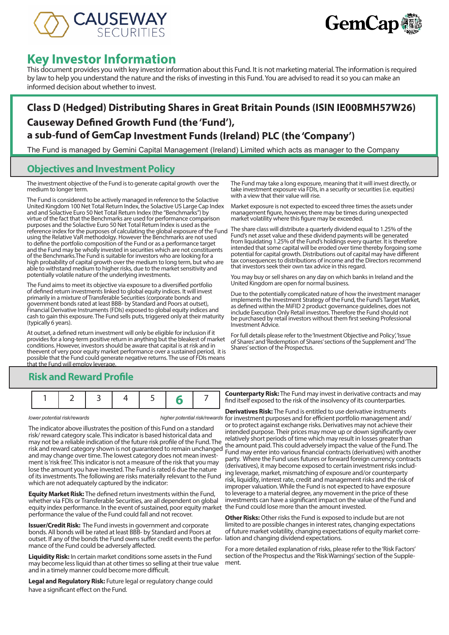



# **Key Investor Information**

This document provides you with key investor information about this Fund. It is not marketing material. The information is required by law to help you understand the nature and the risks of investing in this Fund. You are advised to read it so you can make an informed decision about whether to invest.

## **Class D (Hedged) Distributing Shares in Great Britain Pounds (ISIN IE00BMH57W26) Causeway Defined Growth Fund (the 'Fund'), a sub-fund of GemCap Investment Funds (Ireland) PLC (the 'Company')**

The Fund is managed by Gemini Capital Management (Ireland) Limited which acts as manager to the Company

### **Objectives and Investment Policy**

The investment objective of the Fund is to generate capital growth over the medium to longer term.

The Fund is considered to be actively managed in reference to the Solactive United Kingdom 100 Net Total Return Index, the Solactive US Large Cap Index and and Solactive Euro 50 Net Total Return Index (the "Benchmarks") by virtue of the fact that the Benchmarks are used for performance comparison purposes and the Solactive Euro 50 Net Total Return Index is used as the reference index for the purposes of calculating the global exposure of the Fund using the Relative VaR methodolgy. However the Benchmarks are not used to define the portfolio composition of the Fund or as a performance target and the Fund may be wholly invested in securities which are not constituents of the Benchmarks.The Fund is suitable for investors who are looking for a high probability of capital growth over the medium to long term, but who are able to withstand medium to higher risks, due to the market sensitivity and potentially volatile nature of the underlying investments.

The Fund aims to meet its objective via exposure to a diversified portfolio of defined return investments linked to global equity indices. It will invest primarily in a mixture of Transferable Securities (corporate bonds and government bonds rated at least BBB- by Standard and Poors at outset), Financial Derivative Instruments (FDIs) exposed to global equity indices and cash to gain this exposure. The Fund sells puts, triggered only at their maturity (typically 6 years).

At outset, a defined return investment will only be eligible for inclusion if it provides for a long-term positive return in anything but the bleakest of market conditions. However, investors should be aware that capital is at risk and in theevent of very poor equity market performance over a sustained period, it is possible that the Fund could generate negative returns. The use of FDIs means that the Fund will employ leverage.

The Fund may take a long exposure, meaning that it will invest directly, or take investment exposure via FDIs, in a security or securities (i.e. equities) with a view that their value will rise.

Market exposure is not expected to exceed three times the assets under management figure, however, there may be times during unexpected market volatility where this figure may be exceeded.

The share class will distribute a quarterly dividend equal to 1.25% of the Fund's net asset value and these dividend payments will be generated from liquidating 1.25% of the Fund's holdings every quarter. It is therefore intended that some capital will be eroded over time thereby forgoing some potential for capital growth. Distributions out of capital may have different tax consequences to distributions of income and the Directors recommend that investors seek their own tax advice in this regard.

You may buy or sell shares on any day on which banks in Ireland and the United Kingdom are open for normal business.

Due to the potentially complicated nature of how the investment manager implements the Investment Strategy of the Fund, the Fund's Target Market, as defined within the MiFID 2 product governance guidelines, does not include Execution Only Retail investors. Therefore the Fund should not be purchased by retail investors without them first seeking Professional Investment Advice.

For full details please refer to the 'Investment Objective and Policy', 'Issue of Shares' and 'Redemption of Shares' sections of the Supplement and 'The Shares' section of the Prospectus.

### **Risk and Reward Profile**

|--|--|

The indicator above illustrates the position of this Fund on a standard risk/ reward category scale. This indicator is based historical data and may not be a reliable indication of the future risk profile of the Fund. The risk and reward category shown is not guaranteed to remain unchanged and may change over time. The lowest category does not mean investment is 'risk free'. This indicator is not a measure of the risk that you may lose the amount you have invested. The Fund is rated 6 due the nature of its investments. The following are risks materially relevant to the Fund which are not adequately captured by the indicator:

**Equity Market Risk:** The defined return investments within the Fund, whether via FDIs or Transferable Securities, are all dependent on global equity index performance. In the event of sustained, poor equity market performance the value of the Fund could fall and not recover.

**Issuer/Credit Risk:** The Fund invests in government and corporate bonds. All bonds will be rated at least BBB- by Standard and Poors at outset. If any of the bonds the Fund owns suffer credit events the perfor-lation and changing dividend expectations. mance of the Fund could be adversely affected.

**Liquidity Risk:** In certain market conditions some assets in the Fund may become less liquid than at other times so selling at their true value and in a timely manner could become more difficult.

**Legal and Regulatory Risk:** Future legal or regulatory change could have a significant effect on the Fund.

**Counterparty Risk:** The Fund may invest in derivative contracts and may find itself exposed to the risk of the insolvency of its counterparties.

*lower potential risk/rewards higher potential risk/rewards* for investment purposes and for efficient portfolio management and/ **Derivatives Risk:** The Fund is entitled to use derivative instruments or to protect against exchange risks. Derivatives may not achieve their intended purpose. Their prices may move up or down significantly over relatively short periods of time which may result in losses greater than the amount paid. This could adversely impact the value of the Fund. The Fund may enter into various financial contracts (derivatives) with another party. Where the Fund uses futures or forward foreign currency contracts (derivatives), it may become exposed to certain investment risks including leverage, market, mismatching of exposure and/or counterparty risk, liquidity, interest rate, credit and management risks and the risk of improper valuation. While the Fund is not expected to have exposure to leverage to a material degree, any movement in the price of these investments can have a significant impact on the value of the Fund and the Fund could lose more than the amount invested.

> **Other Risks:** Other risks the Fund is exposed to include but are not limited to are possible changes in interest rates, changing expectations of future market volatility, changing expectations of equity market corre-

For a more detailed explanation of risks, please refer to the 'Risk Factors' section of the Prospectus and the 'Risk Warnings' section of the Supple- ment.